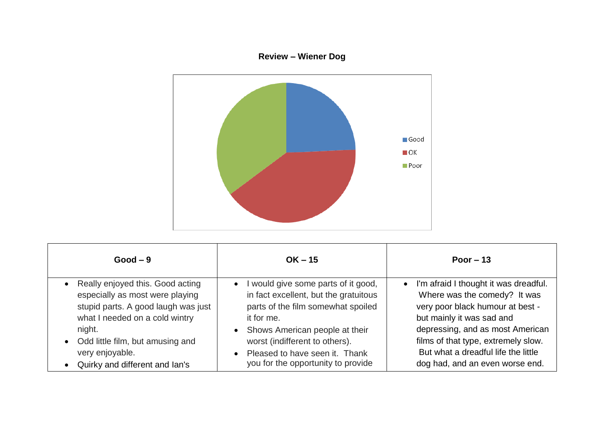## **Review – Wiener Dog**



| $Good - 9$                                                                                                                                                                                                                                            | $OK - 15$                                                                                                                                                                                                                                                                                                | Poor $-13$                                                                                                                                                                                                                                                                                               |
|-------------------------------------------------------------------------------------------------------------------------------------------------------------------------------------------------------------------------------------------------------|----------------------------------------------------------------------------------------------------------------------------------------------------------------------------------------------------------------------------------------------------------------------------------------------------------|----------------------------------------------------------------------------------------------------------------------------------------------------------------------------------------------------------------------------------------------------------------------------------------------------------|
| • Really enjoyed this. Good acting<br>especially as most were playing<br>stupid parts. A good laugh was just<br>what I needed on a cold wintry<br>night.<br>• Odd little film, but amusing and<br>very enjoyable.<br>• Quirky and different and lan's | I would give some parts of it good,<br>$\bullet$<br>in fact excellent, but the gratuitous<br>parts of the film somewhat spoiled<br>it for me.<br>• Shows American people at their<br>worst (indifferent to others).<br>Pleased to have seen it. Thank<br>$\bullet$<br>you for the opportunity to provide | I'm afraid I thought it was dreadful.<br>$\bullet$<br>Where was the comedy? It was<br>very poor black humour at best -<br>but mainly it was sad and<br>depressing, and as most American<br>films of that type, extremely slow.<br>But what a dreadful life the little<br>dog had, and an even worse end. |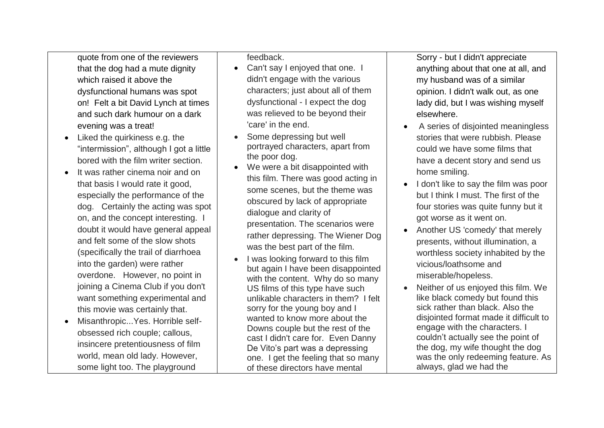quote from one of the reviewers that the dog had a mute dignity which raised it above the dysfunctional humans was spot on! Felt a bit David Lynch at times and such dark humour on a dark evening was a treat!

- Liked the quirkiness e.g. the "intermission", although I got a little bored with the film writer section.
- It was rather cinema noir and on that basis I would rate it good, especially the performance of the dog. Certainly the acting was spot on, and the concept interesting. I doubt it would have general appeal and felt some of the slow shots (specifically the trail of diarrhoea into the garden) were rather overdone. However, no point in joining a Cinema Club if you don't want something experimental and this movie was certainly that.
- Misanthropic...Yes. Horrible selfobsessed rich couple; callous, insincere pretentiousness of film world, mean old lady. However, some light too. The playground

feedback.

- Can't say I enjoyed that one. I didn't engage with the various characters; just about all of them dysfunctional - I expect the dog was relieved to be beyond their 'care' in the end.
- Some depressing but well portrayed characters, apart from the poor dog.
- We were a bit disappointed with this film. There was good acting in some scenes, but the theme was obscured by lack of appropriate dialogue and clarity of presentation. The scenarios were rather depressing. The Wiener Dog was the best part of the film.
- I was looking forward to this film but again I have been disappointed with the content. Why do so many US films of this type have such unlikable characters in them? I felt sorry for the young boy and I wanted to know more about the Downs couple but the rest of the cast I didn't care for. Even Danny De Vito's part was a depressing one. I get the feeling that so many of these directors have mental

Sorry - but I didn't appreciate anything about that one at all, and my husband was of a similar opinion. I didn't walk out, as one lady did, but I was wishing myself elsewhere.

- A series of disjointed meaningless stories that were rubbish. Please could we have some films that have a decent story and send us home smiling.
- I don't like to say the film was poor but I think I must. The first of the four stories was quite funny but it got worse as it went on.
- Another US 'comedy' that merely presents, without illumination, a worthless society inhabited by the vicious/loathsome and miserable/hopeless.
- Neither of us enjoyed this film. We like black comedy but found this sick rather than black. Also the disjointed format made it difficult to engage with the characters. I couldn't actually see the point of the dog, my wife thought the dog was the only redeeming feature. As always, glad we had the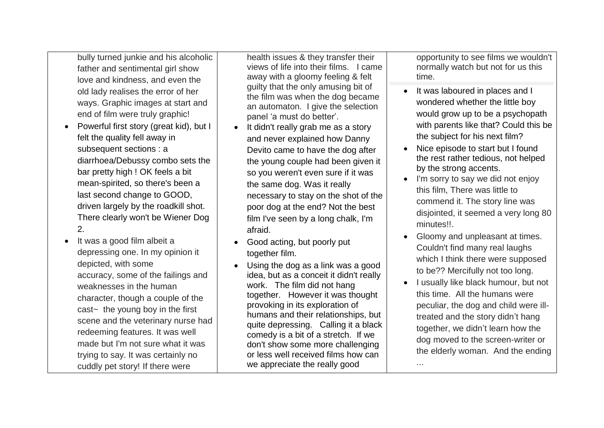bully turned junkie and his alcoholic father and sentimental girl show love and kindness, and even the old lady realises the error of her ways. Graphic images at start and end of film were truly graphic!

- Powerful first story (great kid), but I felt the quality fell away in subsequent sections : a diarrhoea/Debussy combo sets the bar pretty high ! OK feels a bit mean-spirited, so there's been a last second change to GOOD, driven largely by the roadkill shot. There clearly won't be Wiener Dog 2.
- It was a good film albeit a depressing one. In my opinion it depicted, with some accuracy, some of the failings and weaknesses in the human character, though a couple of the cast~ the young boy in the first scene and the veterinary nurse had redeeming features. It was well made but I'm not sure what it was trying to say. It was certainly no cuddly pet story! If there were

health issues & they transfer their views of life into their films. I came away with a gloomy feeling & felt guilty that the only amusing bit of the film was when the dog became an automaton. I give the selection panel 'a must do better'.

- It didn't really grab me as a story and never explained how Danny Devito came to have the dog after the young couple had been given it so you weren't even sure if it was the same dog. Was it really necessary to stay on the shot of the poor dog at the end? Not the best film I've seen by a long chalk, I'm afraid.
- Good acting, but poorly put together film.
- Using the dog as a link was a good idea, but as a conceit it didn't really work. The film did not hang together. However it was thought provoking in its exploration of humans and their relationships, but quite depressing. Calling it a black comedy is a bit of a stretch. If we don't show some more challenging or less well received films how can we appreciate the really good

opportunity to see films we wouldn't normally watch but not for us this time.

- It was laboured in places and I wondered whether the little boy would grow up to be a psychopath with parents like that? Could this be the subject for his next film?
- Nice episode to start but I found the rest rather tedious, not helped by the strong accents.
- I'm sorry to say we did not enjoy this film, There was little to commend it. The story line was disjointed, it seemed a very long 80 minutes!!.
- Gloomy and unpleasant at times. Couldn't find many real laughs which I think there were supposed to be?? Mercifully not too long.
- I usually like black humour, but not this time. All the humans were peculiar, the dog and child were illtreated and the story didn't hang together, we didn't learn how the dog moved to the screen-writer or the elderly woman. And the ending

...